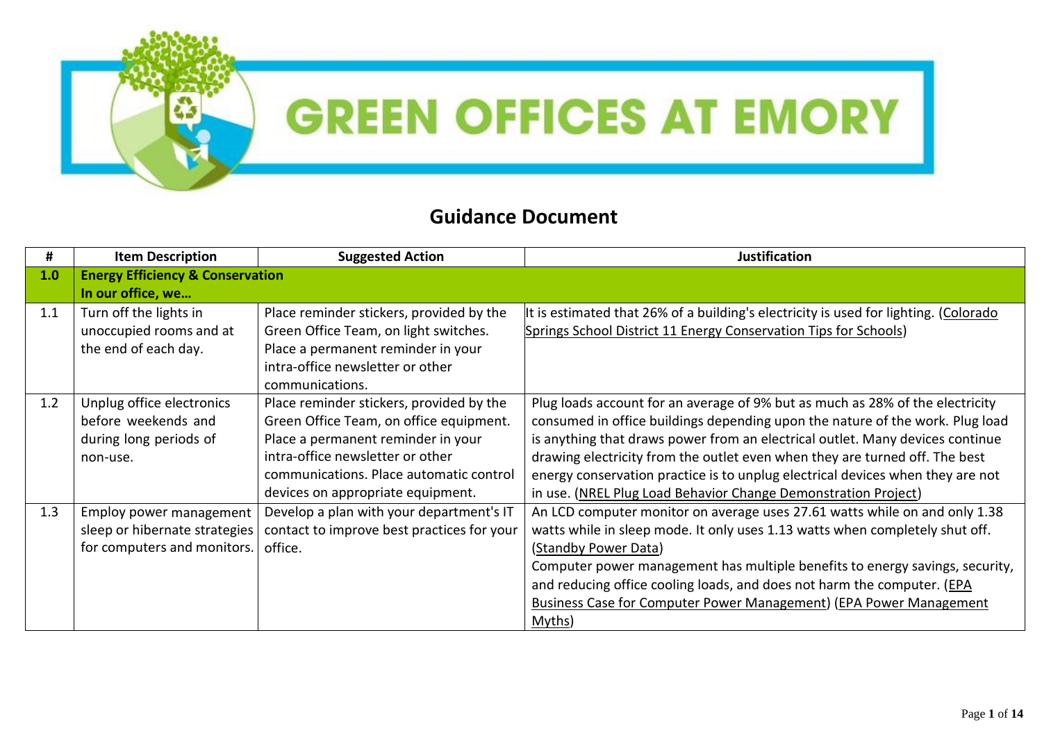

## **GREEN OFFICES AT EMORY**

## **Guidance Document**

| #   | <b>Item Description</b>                     | <b>Suggested Action</b>                    | <b>Justification</b>                                                                 |
|-----|---------------------------------------------|--------------------------------------------|--------------------------------------------------------------------------------------|
| 1.0 | <b>Energy Efficiency &amp; Conservation</b> |                                            |                                                                                      |
|     | In our office, we                           |                                            |                                                                                      |
| 1.1 | Turn off the lights in                      | Place reminder stickers, provided by the   | It is estimated that 26% of a building's electricity is used for lighting. (Colorado |
|     | unoccupied rooms and at                     | Green Office Team, on light switches.      | Springs School District 11 Energy Conservation Tips for Schools)                     |
|     | the end of each day.                        | Place a permanent reminder in your         |                                                                                      |
|     |                                             | intra-office newsletter or other           |                                                                                      |
|     |                                             | communications.                            |                                                                                      |
| 1.2 | Unplug office electronics                   | Place reminder stickers, provided by the   | Plug loads account for an average of 9% but as much as 28% of the electricity        |
|     | before weekends and                         | Green Office Team, on office equipment.    | consumed in office buildings depending upon the nature of the work. Plug load        |
|     | during long periods of                      | Place a permanent reminder in your         | is anything that draws power from an electrical outlet. Many devices continue        |
|     | non-use.                                    | intra-office newsletter or other           | drawing electricity from the outlet even when they are turned off. The best          |
|     |                                             | communications. Place automatic control    | energy conservation practice is to unplug electrical devices when they are not       |
|     |                                             | devices on appropriate equipment.          | in use. (NREL Plug Load Behavior Change Demonstration Project)                       |
| 1.3 | Employ power management                     | Develop a plan with your department's IT   | An LCD computer monitor on average uses 27.61 watts while on and only 1.38           |
|     | sleep or hibernate strategies               | contact to improve best practices for your | watts while in sleep mode. It only uses 1.13 watts when completely shut off.         |
|     | for computers and monitors.                 | office.                                    | (Standby Power Data)                                                                 |
|     |                                             |                                            | Computer power management has multiple benefits to energy savings, security,         |
|     |                                             |                                            | and reducing office cooling loads, and does not harm the computer. (EPA              |
|     |                                             |                                            | <b>Business Case for Computer Power Management) (EPA Power Management</b>            |
|     |                                             |                                            | Myths)                                                                               |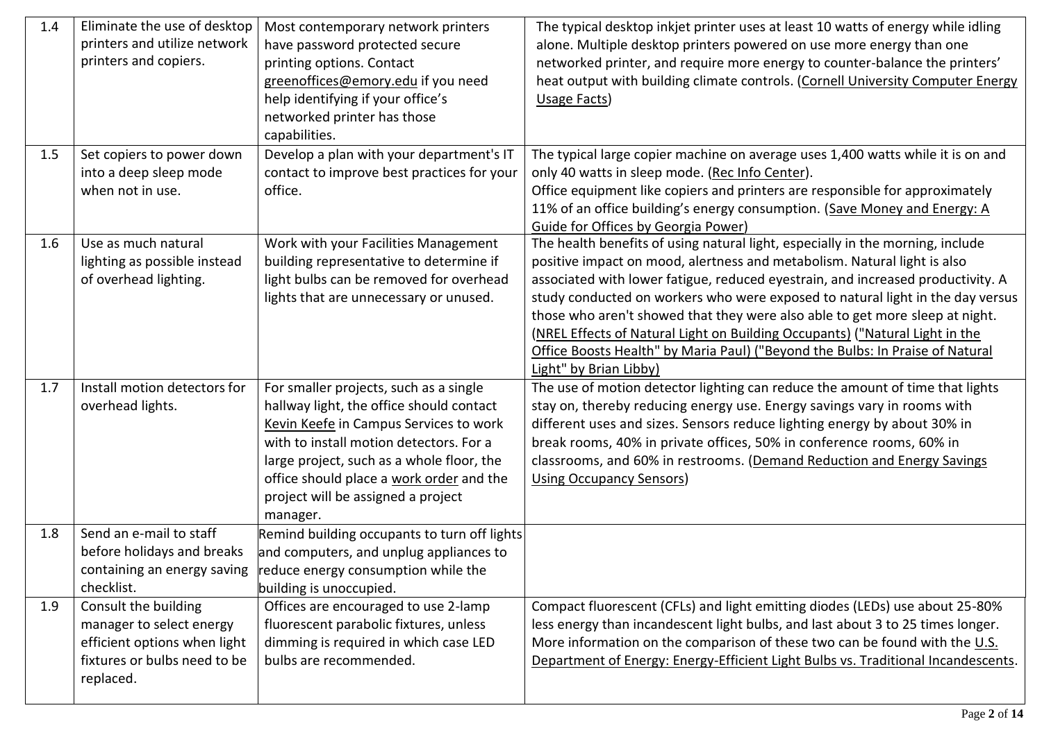| 1.4<br>1.5 | Eliminate the use of desktop<br>printers and utilize network<br>printers and copiers.<br>Set copiers to power down            | Most contemporary network printers<br>have password protected secure<br>printing options. Contact<br>greenoffices@emory.edu if you need<br>help identifying if your office's<br>networked printer has those<br>capabilities.<br>Develop a plan with your department's IT                                           | The typical desktop inkjet printer uses at least 10 watts of energy while idling<br>alone. Multiple desktop printers powered on use more energy than one<br>networked printer, and require more energy to counter-balance the printers'<br>heat output with building climate controls. (Cornell University Computer Energy<br>Usage Facts)<br>The typical large copier machine on average uses 1,400 watts while it is on and                                                                                                                                                                              |
|------------|-------------------------------------------------------------------------------------------------------------------------------|--------------------------------------------------------------------------------------------------------------------------------------------------------------------------------------------------------------------------------------------------------------------------------------------------------------------|------------------------------------------------------------------------------------------------------------------------------------------------------------------------------------------------------------------------------------------------------------------------------------------------------------------------------------------------------------------------------------------------------------------------------------------------------------------------------------------------------------------------------------------------------------------------------------------------------------|
|            | into a deep sleep mode<br>when not in use.                                                                                    | contact to improve best practices for your<br>office.                                                                                                                                                                                                                                                              | only 40 watts in sleep mode. (Rec Info Center).<br>Office equipment like copiers and printers are responsible for approximately<br>11% of an office building's energy consumption. (Save Money and Energy: A<br>Guide for Offices by Georgia Power)                                                                                                                                                                                                                                                                                                                                                        |
| 1.6        | Use as much natural<br>lighting as possible instead<br>of overhead lighting.                                                  | Work with your Facilities Management<br>building representative to determine if<br>light bulbs can be removed for overhead<br>lights that are unnecessary or unused.                                                                                                                                               | The health benefits of using natural light, especially in the morning, include<br>positive impact on mood, alertness and metabolism. Natural light is also<br>associated with lower fatigue, reduced eyestrain, and increased productivity. A<br>study conducted on workers who were exposed to natural light in the day versus<br>those who aren't showed that they were also able to get more sleep at night.<br>(NREL Effects of Natural Light on Building Occupants) ("Natural Light in the<br>Office Boosts Health" by Maria Paul) ("Beyond the Bulbs: In Praise of Natural<br>Light" by Brian Libby) |
| 1.7        | Install motion detectors for<br>overhead lights.                                                                              | For smaller projects, such as a single<br>hallway light, the office should contact<br>Kevin Keefe in Campus Services to work<br>with to install motion detectors. For a<br>large project, such as a whole floor, the<br>office should place a work order and the<br>project will be assigned a project<br>manager. | The use of motion detector lighting can reduce the amount of time that lights<br>stay on, thereby reducing energy use. Energy savings vary in rooms with<br>different uses and sizes. Sensors reduce lighting energy by about 30% in<br>break rooms, 40% in private offices, 50% in conference rooms, 60% in<br>classrooms, and 60% in restrooms. (Demand Reduction and Energy Savings<br><b>Using Occupancy Sensors)</b>                                                                                                                                                                                  |
| 1.8        | Send an e-mail to staff<br>before holidays and breaks<br>checklist.                                                           | Remind building occupants to turn off lights<br>and computers, and unplug appliances to<br>containing an energy saving $ $ reduce energy consumption while the<br>building is unoccupied.                                                                                                                          |                                                                                                                                                                                                                                                                                                                                                                                                                                                                                                                                                                                                            |
| 1.9        | Consult the building<br>manager to select energy<br>efficient options when light<br>fixtures or bulbs need to be<br>replaced. | Offices are encouraged to use 2-lamp<br>fluorescent parabolic fixtures, unless<br>dimming is required in which case LED<br>bulbs are recommended.                                                                                                                                                                  | Compact fluorescent (CFLs) and light emitting diodes (LEDs) use about 25-80%<br>less energy than incandescent light bulbs, and last about 3 to 25 times longer.<br>More information on the comparison of these two can be found with the U.S.<br>Department of Energy: Energy-Efficient Light Bulbs vs. Traditional Incandescents.                                                                                                                                                                                                                                                                         |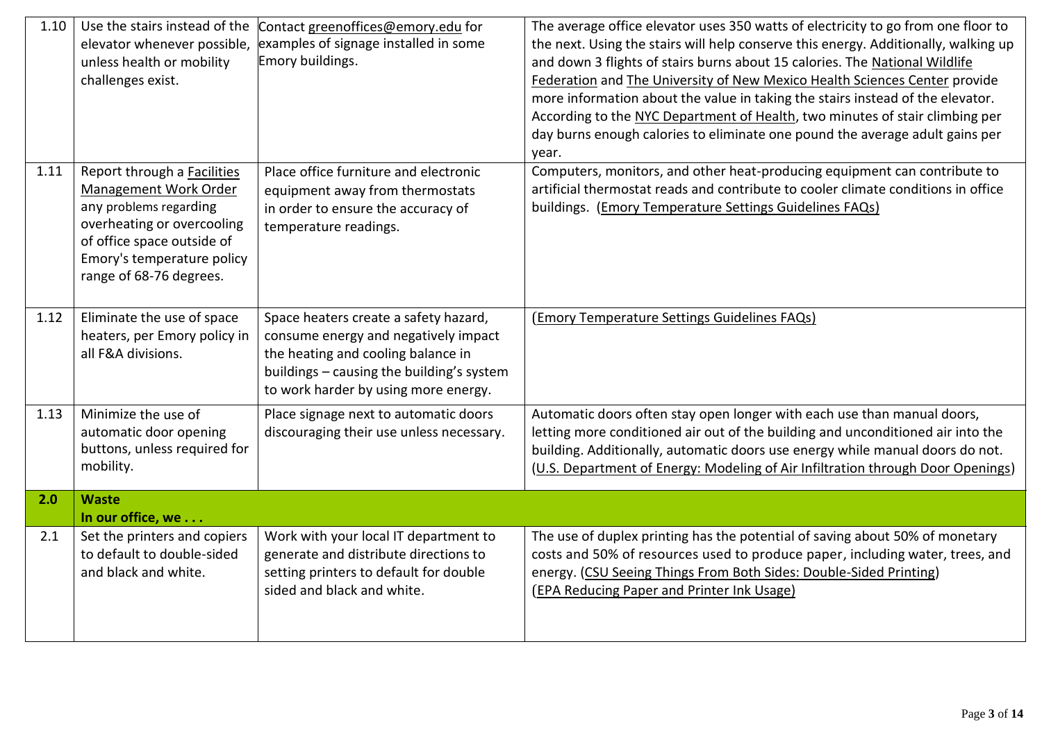| 1.10 | Use the stairs instead of the<br>elevator whenever possible,<br>unless health or mobility<br>challenges exist.                                                                                      | Contact greenoffices@emory.edu for<br>examples of signage installed in some<br>Emory buildings.                                                                                                          | The average office elevator uses 350 watts of electricity to go from one floor to<br>the next. Using the stairs will help conserve this energy. Additionally, walking up<br>and down 3 flights of stairs burns about 15 calories. The National Wildlife<br>Federation and The University of New Mexico Health Sciences Center provide<br>more information about the value in taking the stairs instead of the elevator.<br>According to the NYC Department of Health, two minutes of stair climbing per<br>day burns enough calories to eliminate one pound the average adult gains per<br>year. |
|------|-----------------------------------------------------------------------------------------------------------------------------------------------------------------------------------------------------|----------------------------------------------------------------------------------------------------------------------------------------------------------------------------------------------------------|--------------------------------------------------------------------------------------------------------------------------------------------------------------------------------------------------------------------------------------------------------------------------------------------------------------------------------------------------------------------------------------------------------------------------------------------------------------------------------------------------------------------------------------------------------------------------------------------------|
| 1.11 | Report through a Facilities<br>Management Work Order<br>any problems regarding<br>overheating or overcooling<br>of office space outside of<br>Emory's temperature policy<br>range of 68-76 degrees. | Place office furniture and electronic<br>equipment away from thermostats<br>in order to ensure the accuracy of<br>temperature readings.                                                                  | Computers, monitors, and other heat-producing equipment can contribute to<br>artificial thermostat reads and contribute to cooler climate conditions in office<br>buildings. (Emory Temperature Settings Guidelines FAQs)                                                                                                                                                                                                                                                                                                                                                                        |
| 1.12 | Eliminate the use of space<br>heaters, per Emory policy in<br>all F&A divisions.                                                                                                                    | Space heaters create a safety hazard,<br>consume energy and negatively impact<br>the heating and cooling balance in<br>buildings - causing the building's system<br>to work harder by using more energy. | (Emory Temperature Settings Guidelines FAQs)                                                                                                                                                                                                                                                                                                                                                                                                                                                                                                                                                     |
| 1.13 | Minimize the use of<br>automatic door opening<br>buttons, unless required for<br>mobility.                                                                                                          | Place signage next to automatic doors<br>discouraging their use unless necessary.                                                                                                                        | Automatic doors often stay open longer with each use than manual doors,<br>letting more conditioned air out of the building and unconditioned air into the<br>building. Additionally, automatic doors use energy while manual doors do not.<br>(U.S. Department of Energy: Modeling of Air Infiltration through Door Openings)                                                                                                                                                                                                                                                                   |
| 2.0  | <b>Waste</b><br>In our office, we                                                                                                                                                                   |                                                                                                                                                                                                          |                                                                                                                                                                                                                                                                                                                                                                                                                                                                                                                                                                                                  |
| 2.1  | Set the printers and copiers<br>to default to double-sided<br>and black and white.                                                                                                                  | Work with your local IT department to<br>generate and distribute directions to<br>setting printers to default for double<br>sided and black and white.                                                   | The use of duplex printing has the potential of saving about 50% of monetary<br>costs and 50% of resources used to produce paper, including water, trees, and<br>energy. (CSU Seeing Things From Both Sides: Double-Sided Printing)<br>(EPA Reducing Paper and Printer Ink Usage)                                                                                                                                                                                                                                                                                                                |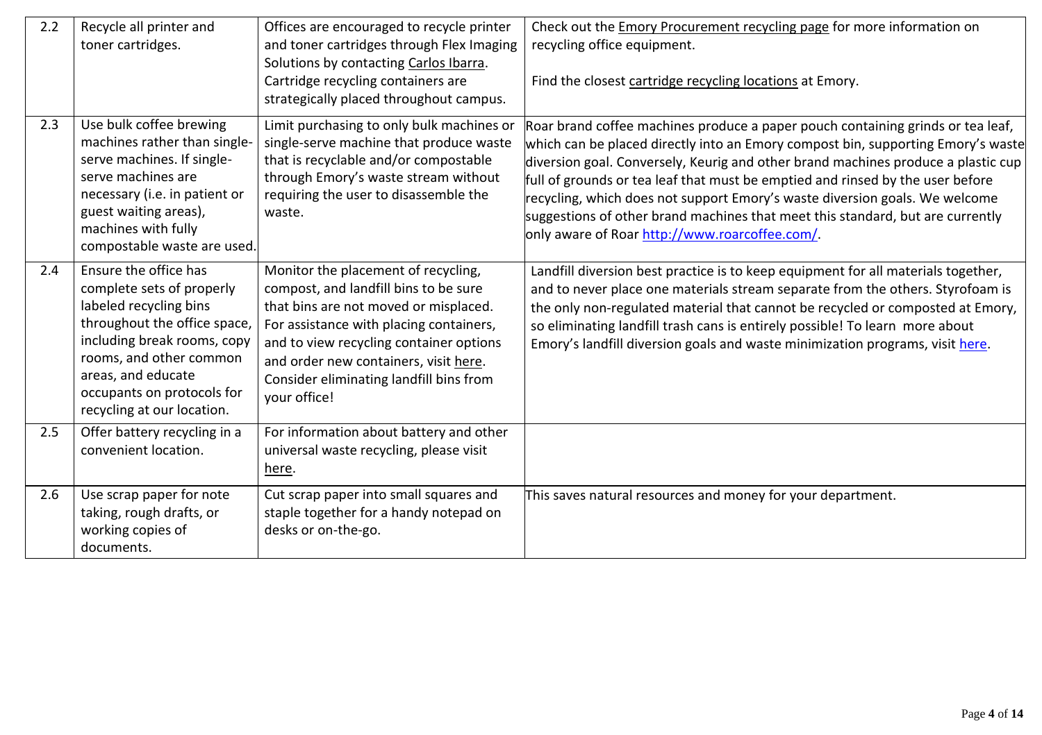| 2.2 | Recycle all printer and<br>toner cartridges.                                                                                                                                                                                                             | Offices are encouraged to recycle printer<br>and toner cartridges through Flex Imaging<br>Solutions by contacting Carlos Ibarra.<br>Cartridge recycling containers are<br>strategically placed throughout campus.                                                                                               | Check out the Emory Procurement recycling page for more information on<br>recycling office equipment.<br>Find the closest cartridge recycling locations at Emory.                                                                                                                                                                                                                                                                                                                                                                                             |
|-----|----------------------------------------------------------------------------------------------------------------------------------------------------------------------------------------------------------------------------------------------------------|-----------------------------------------------------------------------------------------------------------------------------------------------------------------------------------------------------------------------------------------------------------------------------------------------------------------|---------------------------------------------------------------------------------------------------------------------------------------------------------------------------------------------------------------------------------------------------------------------------------------------------------------------------------------------------------------------------------------------------------------------------------------------------------------------------------------------------------------------------------------------------------------|
| 2.3 | Use bulk coffee brewing<br>machines rather than single-<br>serve machines. If single-<br>serve machines are<br>necessary (i.e. in patient or<br>guest waiting areas),<br>machines with fully<br>compostable waste are used.                              | Limit purchasing to only bulk machines or<br>single-serve machine that produce waste<br>that is recyclable and/or compostable<br>through Emory's waste stream without<br>requiring the user to disassemble the<br>waste.                                                                                        | Roar brand coffee machines produce a paper pouch containing grinds or tea leaf,<br>which can be placed directly into an Emory compost bin, supporting Emory's waste<br>diversion goal. Conversely, Keurig and other brand machines produce a plastic cup<br>full of grounds or tea leaf that must be emptied and rinsed by the user before<br>recycling, which does not support Emory's waste diversion goals. We welcome<br>suggestions of other brand machines that meet this standard, but are currently<br>only aware of Roar http://www.roarcoffee.com/. |
| 2.4 | Ensure the office has<br>complete sets of properly<br>labeled recycling bins<br>throughout the office space,<br>including break rooms, copy<br>rooms, and other common<br>areas, and educate<br>occupants on protocols for<br>recycling at our location. | Monitor the placement of recycling,<br>compost, and landfill bins to be sure<br>that bins are not moved or misplaced.<br>For assistance with placing containers,<br>and to view recycling container options<br>and order new containers, visit here.<br>Consider eliminating landfill bins from<br>your office! | Landfill diversion best practice is to keep equipment for all materials together,<br>and to never place one materials stream separate from the others. Styrofoam is<br>the only non-regulated material that cannot be recycled or composted at Emory,<br>so eliminating landfill trash cans is entirely possible! To learn more about<br>Emory's landfill diversion goals and waste minimization programs, visit here.                                                                                                                                        |
| 2.5 | Offer battery recycling in a<br>convenient location.                                                                                                                                                                                                     | For information about battery and other<br>universal waste recycling, please visit<br>here.                                                                                                                                                                                                                     |                                                                                                                                                                                                                                                                                                                                                                                                                                                                                                                                                               |
| 2.6 | Use scrap paper for note<br>taking, rough drafts, or<br>working copies of<br>documents.                                                                                                                                                                  | Cut scrap paper into small squares and<br>staple together for a handy notepad on<br>desks or on-the-go.                                                                                                                                                                                                         | This saves natural resources and money for your department.                                                                                                                                                                                                                                                                                                                                                                                                                                                                                                   |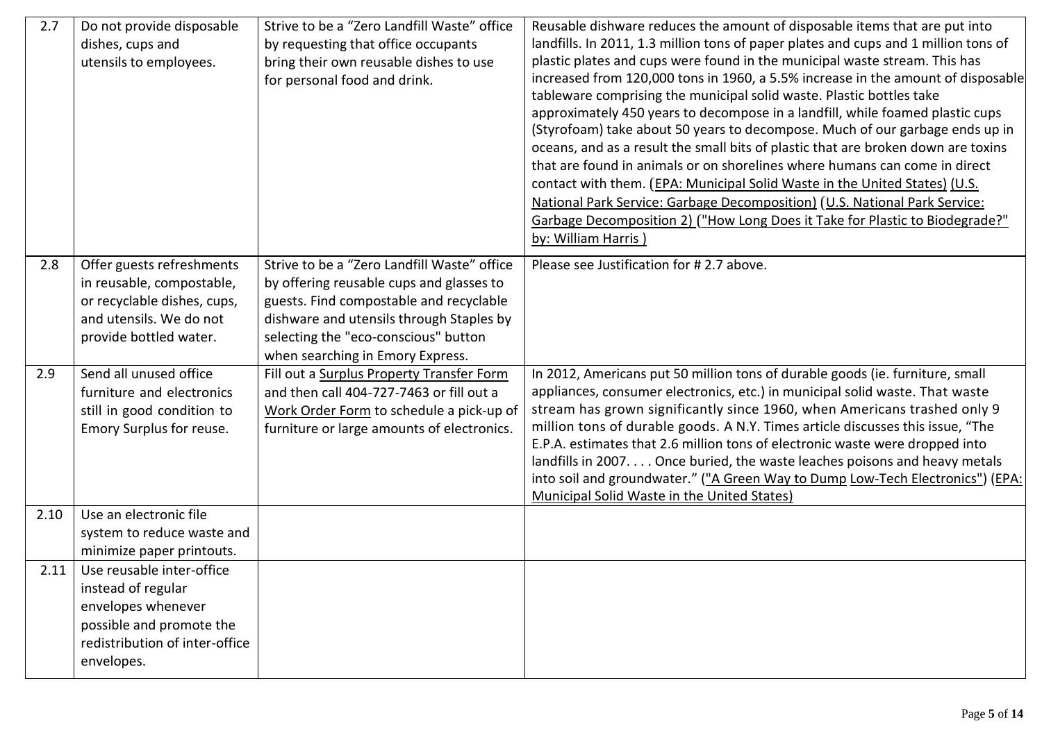| 2.7  | Do not provide disposable<br>dishes, cups and<br>utensils to employees.                                                                           | Strive to be a "Zero Landfill Waste" office<br>by requesting that office occupants<br>bring their own reusable dishes to use<br>for personal food and drink.                                                                                               | Reusable dishware reduces the amount of disposable items that are put into<br>landfills. In 2011, 1.3 million tons of paper plates and cups and 1 million tons of<br>plastic plates and cups were found in the municipal waste stream. This has<br>increased from 120,000 tons in 1960, a 5.5% increase in the amount of disposable<br>tableware comprising the municipal solid waste. Plastic bottles take<br>approximately 450 years to decompose in a landfill, while foamed plastic cups<br>(Styrofoam) take about 50 years to decompose. Much of our garbage ends up in<br>oceans, and as a result the small bits of plastic that are broken down are toxins |
|------|---------------------------------------------------------------------------------------------------------------------------------------------------|------------------------------------------------------------------------------------------------------------------------------------------------------------------------------------------------------------------------------------------------------------|-------------------------------------------------------------------------------------------------------------------------------------------------------------------------------------------------------------------------------------------------------------------------------------------------------------------------------------------------------------------------------------------------------------------------------------------------------------------------------------------------------------------------------------------------------------------------------------------------------------------------------------------------------------------|
|      |                                                                                                                                                   |                                                                                                                                                                                                                                                            | that are found in animals or on shorelines where humans can come in direct<br>contact with them. (EPA: Municipal Solid Waste in the United States) (U.S.<br>National Park Service: Garbage Decomposition) (U.S. National Park Service:<br>Garbage Decomposition 2) ("How Long Does it Take for Plastic to Biodegrade?"                                                                                                                                                                                                                                                                                                                                            |
|      |                                                                                                                                                   |                                                                                                                                                                                                                                                            | by: William Harris)                                                                                                                                                                                                                                                                                                                                                                                                                                                                                                                                                                                                                                               |
| 2.8  | Offer guests refreshments<br>in reusable, compostable,<br>or recyclable dishes, cups,<br>and utensils. We do not<br>provide bottled water.        | Strive to be a "Zero Landfill Waste" office<br>by offering reusable cups and glasses to<br>guests. Find compostable and recyclable<br>dishware and utensils through Staples by<br>selecting the "eco-conscious" button<br>when searching in Emory Express. | Please see Justification for #2.7 above.                                                                                                                                                                                                                                                                                                                                                                                                                                                                                                                                                                                                                          |
| 2.9  | Send all unused office<br>furniture and electronics<br>still in good condition to<br>Emory Surplus for reuse.                                     | Fill out a Surplus Property Transfer Form<br>and then call 404-727-7463 or fill out a<br>Work Order Form to schedule a pick-up of<br>furniture or large amounts of electronics.                                                                            | In 2012, Americans put 50 million tons of durable goods (ie. furniture, small<br>appliances, consumer electronics, etc.) in municipal solid waste. That waste<br>stream has grown significantly since 1960, when Americans trashed only 9<br>million tons of durable goods. A N.Y. Times article discusses this issue, "The<br>E.P.A. estimates that 2.6 million tons of electronic waste were dropped into<br>landfills in 2007 Once buried, the waste leaches poisons and heavy metals<br>into soil and groundwater." ("A Green Way to Dump Low-Tech Electronics") (EPA:<br><b>Municipal Solid Waste in the United States)</b>                                  |
| 2.10 | Use an electronic file<br>system to reduce waste and<br>minimize paper printouts.                                                                 |                                                                                                                                                                                                                                                            |                                                                                                                                                                                                                                                                                                                                                                                                                                                                                                                                                                                                                                                                   |
| 2.11 | Use reusable inter-office<br>instead of regular<br>envelopes whenever<br>possible and promote the<br>redistribution of inter-office<br>envelopes. |                                                                                                                                                                                                                                                            |                                                                                                                                                                                                                                                                                                                                                                                                                                                                                                                                                                                                                                                                   |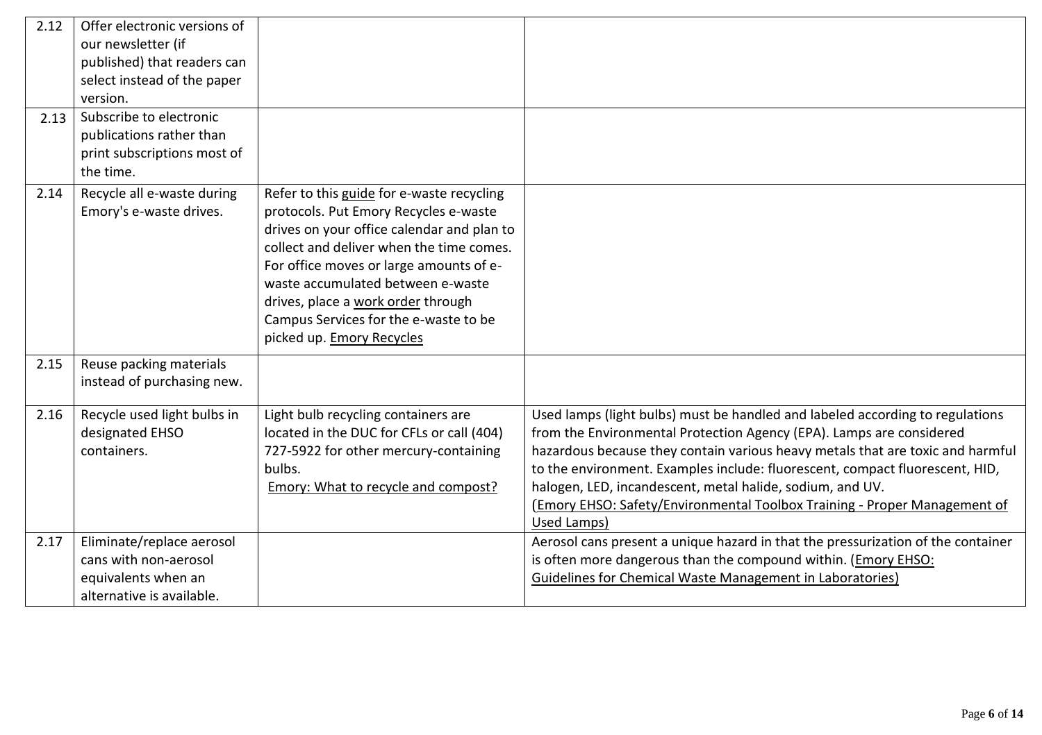| 2.12 | Offer electronic versions of |                                            |                                                                                  |
|------|------------------------------|--------------------------------------------|----------------------------------------------------------------------------------|
|      | our newsletter (if           |                                            |                                                                                  |
|      | published) that readers can  |                                            |                                                                                  |
|      | select instead of the paper  |                                            |                                                                                  |
|      | version.                     |                                            |                                                                                  |
| 2.13 | Subscribe to electronic      |                                            |                                                                                  |
|      | publications rather than     |                                            |                                                                                  |
|      | print subscriptions most of  |                                            |                                                                                  |
|      | the time.                    |                                            |                                                                                  |
| 2.14 | Recycle all e-waste during   | Refer to this guide for e-waste recycling  |                                                                                  |
|      | Emory's e-waste drives.      | protocols. Put Emory Recycles e-waste      |                                                                                  |
|      |                              | drives on your office calendar and plan to |                                                                                  |
|      |                              | collect and deliver when the time comes.   |                                                                                  |
|      |                              | For office moves or large amounts of e-    |                                                                                  |
|      |                              | waste accumulated between e-waste          |                                                                                  |
|      |                              | drives, place a work order through         |                                                                                  |
|      |                              | Campus Services for the e-waste to be      |                                                                                  |
|      |                              | picked up. Emory Recycles                  |                                                                                  |
| 2.15 | Reuse packing materials      |                                            |                                                                                  |
|      | instead of purchasing new.   |                                            |                                                                                  |
|      |                              |                                            |                                                                                  |
| 2.16 | Recycle used light bulbs in  | Light bulb recycling containers are        | Used lamps (light bulbs) must be handled and labeled according to regulations    |
|      | designated EHSO              | located in the DUC for CFLs or call (404)  | from the Environmental Protection Agency (EPA). Lamps are considered             |
|      | containers.                  | 727-5922 for other mercury-containing      | hazardous because they contain various heavy metals that are toxic and harmful   |
|      |                              | bulbs.                                     | to the environment. Examples include: fluorescent, compact fluorescent, HID,     |
|      |                              | Emory: What to recycle and compost?        | halogen, LED, incandescent, metal halide, sodium, and UV.                        |
|      |                              |                                            | (Emory EHSO: Safety/Environmental Toolbox Training - Proper Management of        |
|      |                              |                                            | Used Lamps)                                                                      |
| 2.17 | Eliminate/replace aerosol    |                                            | Aerosol cans present a unique hazard in that the pressurization of the container |
|      | cans with non-aerosol        |                                            | is often more dangerous than the compound within. ( <i>Emory EHSO</i> :          |
|      | equivalents when an          |                                            | Guidelines for Chemical Waste Management in Laboratories)                        |
|      | alternative is available.    |                                            |                                                                                  |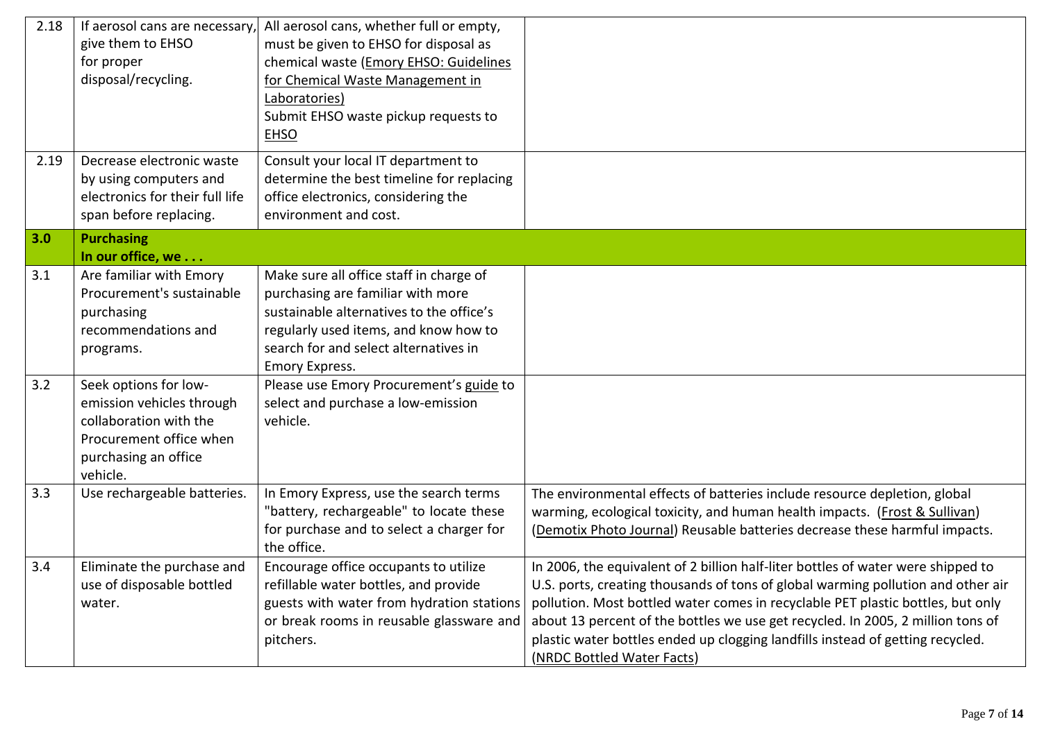| 2.18 | If aerosol cans are necessary,<br>give them to EHSO<br>for proper<br>disposal/recycling.                                                    | All aerosol cans, whether full or empty,<br>must be given to EHSO for disposal as<br>chemical waste (Emory EHSO: Guidelines<br>for Chemical Waste Management in<br>Laboratories)<br>Submit EHSO waste pickup requests to<br>EHSO    |                                                                                                                                                                                                                                                                                                                                                                                                                                                            |
|------|---------------------------------------------------------------------------------------------------------------------------------------------|-------------------------------------------------------------------------------------------------------------------------------------------------------------------------------------------------------------------------------------|------------------------------------------------------------------------------------------------------------------------------------------------------------------------------------------------------------------------------------------------------------------------------------------------------------------------------------------------------------------------------------------------------------------------------------------------------------|
| 2.19 | Decrease electronic waste<br>by using computers and<br>electronics for their full life<br>span before replacing.                            | Consult your local IT department to<br>determine the best timeline for replacing<br>office electronics, considering the<br>environment and cost.                                                                                    |                                                                                                                                                                                                                                                                                                                                                                                                                                                            |
| 3.0  | <b>Purchasing</b><br>In our office, we                                                                                                      |                                                                                                                                                                                                                                     |                                                                                                                                                                                                                                                                                                                                                                                                                                                            |
| 3.1  | Are familiar with Emory<br>Procurement's sustainable<br>purchasing<br>recommendations and<br>programs.                                      | Make sure all office staff in charge of<br>purchasing are familiar with more<br>sustainable alternatives to the office's<br>regularly used items, and know how to<br>search for and select alternatives in<br><b>Emory Express.</b> |                                                                                                                                                                                                                                                                                                                                                                                                                                                            |
| 3.2  | Seek options for low-<br>emission vehicles through<br>collaboration with the<br>Procurement office when<br>purchasing an office<br>vehicle. | Please use Emory Procurement's guide to<br>select and purchase a low-emission<br>vehicle.                                                                                                                                           |                                                                                                                                                                                                                                                                                                                                                                                                                                                            |
| 3.3  | Use rechargeable batteries.                                                                                                                 | In Emory Express, use the search terms<br>"battery, rechargeable" to locate these<br>for purchase and to select a charger for<br>the office.                                                                                        | The environmental effects of batteries include resource depletion, global<br>warming, ecological toxicity, and human health impacts. (Frost & Sullivan)<br>(Demotix Photo Journal) Reusable batteries decrease these harmful impacts.                                                                                                                                                                                                                      |
| 3.4  | Eliminate the purchase and<br>use of disposable bottled<br>water.                                                                           | Encourage office occupants to utilize<br>refillable water bottles, and provide<br>guests with water from hydration stations<br>or break rooms in reusable glassware and<br>pitchers.                                                | In 2006, the equivalent of 2 billion half-liter bottles of water were shipped to<br>U.S. ports, creating thousands of tons of global warming pollution and other air<br>pollution. Most bottled water comes in recyclable PET plastic bottles, but only<br>about 13 percent of the bottles we use get recycled. In 2005, 2 million tons of<br>plastic water bottles ended up clogging landfills instead of getting recycled.<br>(NRDC Bottled Water Facts) |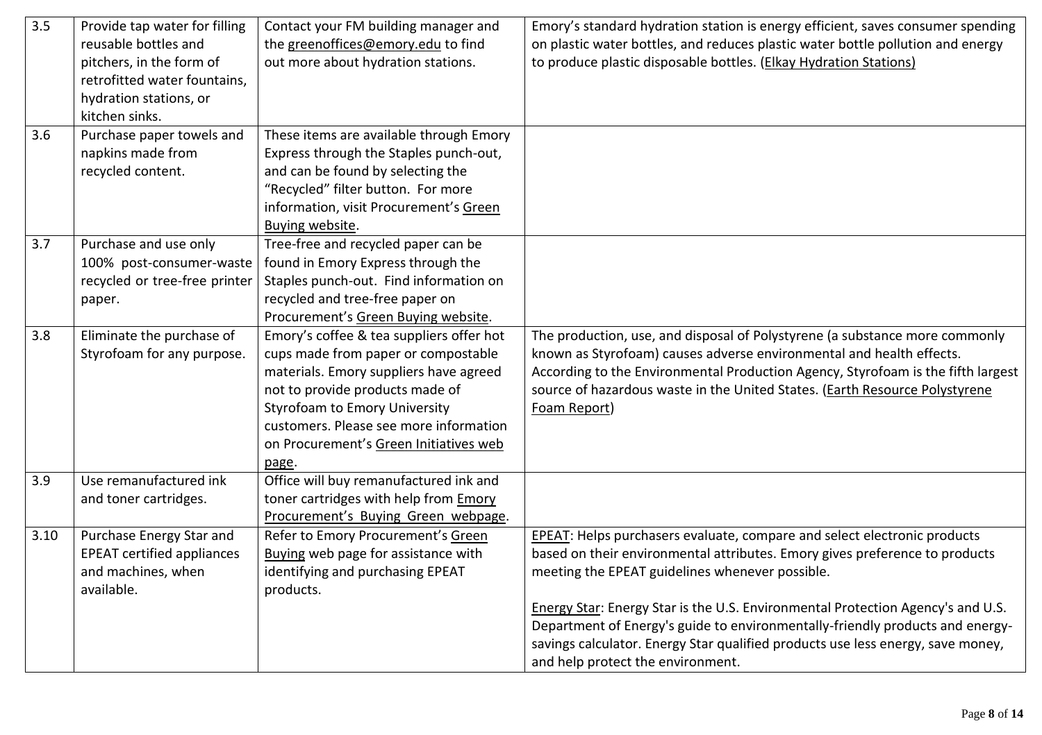| 3.5  | Provide tap water for filling     | Contact your FM building manager and     | Emory's standard hydration station is energy efficient, saves consumer spending  |
|------|-----------------------------------|------------------------------------------|----------------------------------------------------------------------------------|
|      | reusable bottles and              | the greenoffices@emory.edu to find       | on plastic water bottles, and reduces plastic water bottle pollution and energy  |
|      | pitchers, in the form of          | out more about hydration stations.       | to produce plastic disposable bottles. (Elkay Hydration Stations)                |
|      | retrofitted water fountains,      |                                          |                                                                                  |
|      | hydration stations, or            |                                          |                                                                                  |
|      | kitchen sinks.                    |                                          |                                                                                  |
| 3.6  | Purchase paper towels and         | These items are available through Emory  |                                                                                  |
|      | napkins made from                 | Express through the Staples punch-out,   |                                                                                  |
|      | recycled content.                 | and can be found by selecting the        |                                                                                  |
|      |                                   | "Recycled" filter button. For more       |                                                                                  |
|      |                                   | information, visit Procurement's Green   |                                                                                  |
|      |                                   | Buying website.                          |                                                                                  |
| 3.7  | Purchase and use only             | Tree-free and recycled paper can be      |                                                                                  |
|      | 100% post-consumer-waste          | found in Emory Express through the       |                                                                                  |
|      | recycled or tree-free printer     | Staples punch-out. Find information on   |                                                                                  |
|      | paper.                            | recycled and tree-free paper on          |                                                                                  |
|      |                                   | Procurement's Green Buying website.      |                                                                                  |
| 3.8  | Eliminate the purchase of         | Emory's coffee & tea suppliers offer hot | The production, use, and disposal of Polystyrene (a substance more commonly      |
|      | Styrofoam for any purpose.        | cups made from paper or compostable      | known as Styrofoam) causes adverse environmental and health effects.             |
|      |                                   | materials. Emory suppliers have agreed   | According to the Environmental Production Agency, Styrofoam is the fifth largest |
|      |                                   | not to provide products made of          | source of hazardous waste in the United States. (Earth Resource Polystyrene      |
|      |                                   | <b>Styrofoam to Emory University</b>     | Foam Report)                                                                     |
|      |                                   | customers. Please see more information   |                                                                                  |
|      |                                   | on Procurement's Green Initiatives web   |                                                                                  |
|      |                                   | page.                                    |                                                                                  |
| 3.9  | Use remanufactured ink            | Office will buy remanufactured ink and   |                                                                                  |
|      | and toner cartridges.             | toner cartridges with help from Emory    |                                                                                  |
|      |                                   | Procurement's Buying Green webpage.      |                                                                                  |
| 3.10 | Purchase Energy Star and          | Refer to Emory Procurement's Green       | EPEAT: Helps purchasers evaluate, compare and select electronic products         |
|      | <b>EPEAT certified appliances</b> | Buying web page for assistance with      | based on their environmental attributes. Emory gives preference to products      |
|      | and machines, when                | identifying and purchasing EPEAT         | meeting the EPEAT guidelines whenever possible.                                  |
|      | available.                        | products.                                |                                                                                  |
|      |                                   |                                          | Energy Star: Energy Star is the U.S. Environmental Protection Agency's and U.S.  |
|      |                                   |                                          | Department of Energy's guide to environmentally-friendly products and energy-    |
|      |                                   |                                          | savings calculator. Energy Star qualified products use less energy, save money,  |
|      |                                   |                                          | and help protect the environment.                                                |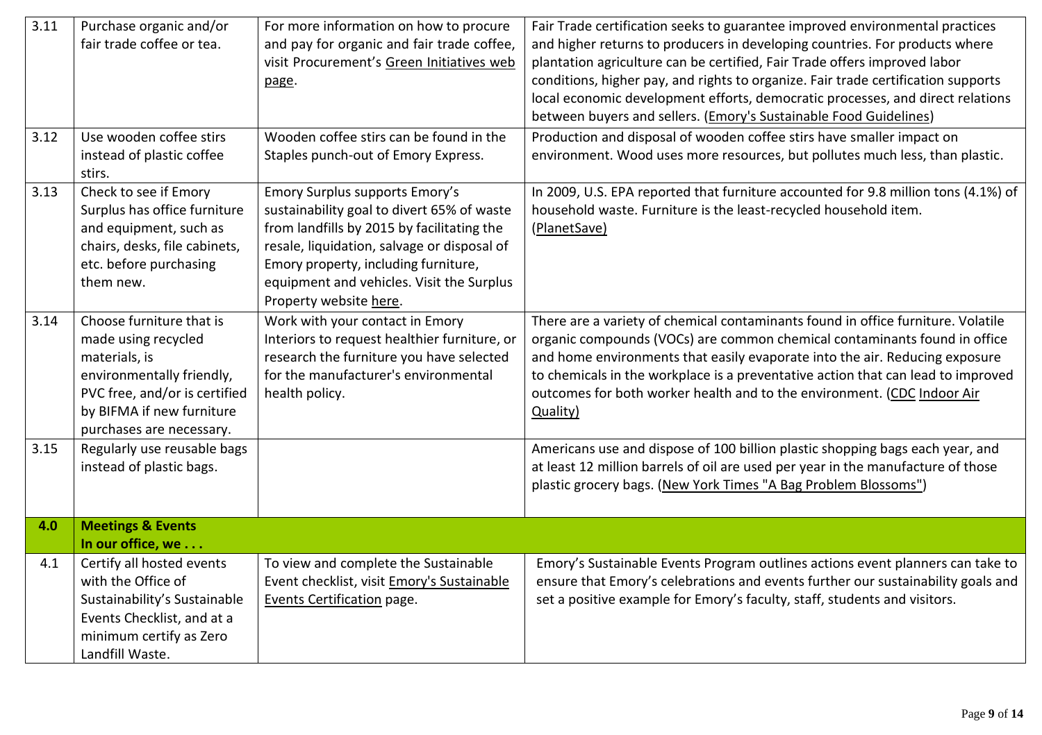| 3.11 | Purchase organic and/or<br>fair trade coffee or tea.                                                                                                                                    | For more information on how to procure<br>and pay for organic and fair trade coffee,<br>visit Procurement's Green Initiatives web<br>page.                                                                                                                                               | Fair Trade certification seeks to guarantee improved environmental practices<br>and higher returns to producers in developing countries. For products where<br>plantation agriculture can be certified, Fair Trade offers improved labor<br>conditions, higher pay, and rights to organize. Fair trade certification supports<br>local economic development efforts, democratic processes, and direct relations<br>between buyers and sellers. ( <i>Emory's Sustainable Food Guidelines</i> ) |
|------|-----------------------------------------------------------------------------------------------------------------------------------------------------------------------------------------|------------------------------------------------------------------------------------------------------------------------------------------------------------------------------------------------------------------------------------------------------------------------------------------|-----------------------------------------------------------------------------------------------------------------------------------------------------------------------------------------------------------------------------------------------------------------------------------------------------------------------------------------------------------------------------------------------------------------------------------------------------------------------------------------------|
| 3.12 | Use wooden coffee stirs<br>instead of plastic coffee<br>stirs.                                                                                                                          | Wooden coffee stirs can be found in the<br>Staples punch-out of Emory Express.                                                                                                                                                                                                           | Production and disposal of wooden coffee stirs have smaller impact on<br>environment. Wood uses more resources, but pollutes much less, than plastic.                                                                                                                                                                                                                                                                                                                                         |
| 3.13 | Check to see if Emory<br>Surplus has office furniture<br>and equipment, such as<br>chairs, desks, file cabinets,<br>etc. before purchasing<br>them new.                                 | Emory Surplus supports Emory's<br>sustainability goal to divert 65% of waste<br>from landfills by 2015 by facilitating the<br>resale, liquidation, salvage or disposal of<br>Emory property, including furniture,<br>equipment and vehicles. Visit the Surplus<br>Property website here. | In 2009, U.S. EPA reported that furniture accounted for 9.8 million tons (4.1%) of<br>household waste. Furniture is the least-recycled household item.<br>(PlanetSave)                                                                                                                                                                                                                                                                                                                        |
| 3.14 | Choose furniture that is<br>made using recycled<br>materials, is<br>environmentally friendly,<br>PVC free, and/or is certified<br>by BIFMA if new furniture<br>purchases are necessary. | Work with your contact in Emory<br>Interiors to request healthier furniture, or<br>research the furniture you have selected<br>for the manufacturer's environmental<br>health policy.                                                                                                    | There are a variety of chemical contaminants found in office furniture. Volatile<br>organic compounds (VOCs) are common chemical contaminants found in office<br>and home environments that easily evaporate into the air. Reducing exposure<br>to chemicals in the workplace is a preventative action that can lead to improved<br>outcomes for both worker health and to the environment. (CDC Indoor Air<br>Quality)                                                                       |
| 3.15 | Regularly use reusable bags<br>instead of plastic bags.                                                                                                                                 |                                                                                                                                                                                                                                                                                          | Americans use and dispose of 100 billion plastic shopping bags each year, and<br>at least 12 million barrels of oil are used per year in the manufacture of those<br>plastic grocery bags. (New York Times "A Bag Problem Blossoms")                                                                                                                                                                                                                                                          |
| 4.0  | <b>Meetings &amp; Events</b><br>In our office, we                                                                                                                                       |                                                                                                                                                                                                                                                                                          |                                                                                                                                                                                                                                                                                                                                                                                                                                                                                               |
| 4.1  | Certify all hosted events<br>with the Office of<br>Sustainability's Sustainable<br>Events Checklist, and at a<br>minimum certify as Zero<br>Landfill Waste.                             | To view and complete the Sustainable<br>Event checklist, visit Emory's Sustainable<br>Events Certification page.                                                                                                                                                                         | Emory's Sustainable Events Program outlines actions event planners can take to<br>ensure that Emory's celebrations and events further our sustainability goals and<br>set a positive example for Emory's faculty, staff, students and visitors.                                                                                                                                                                                                                                               |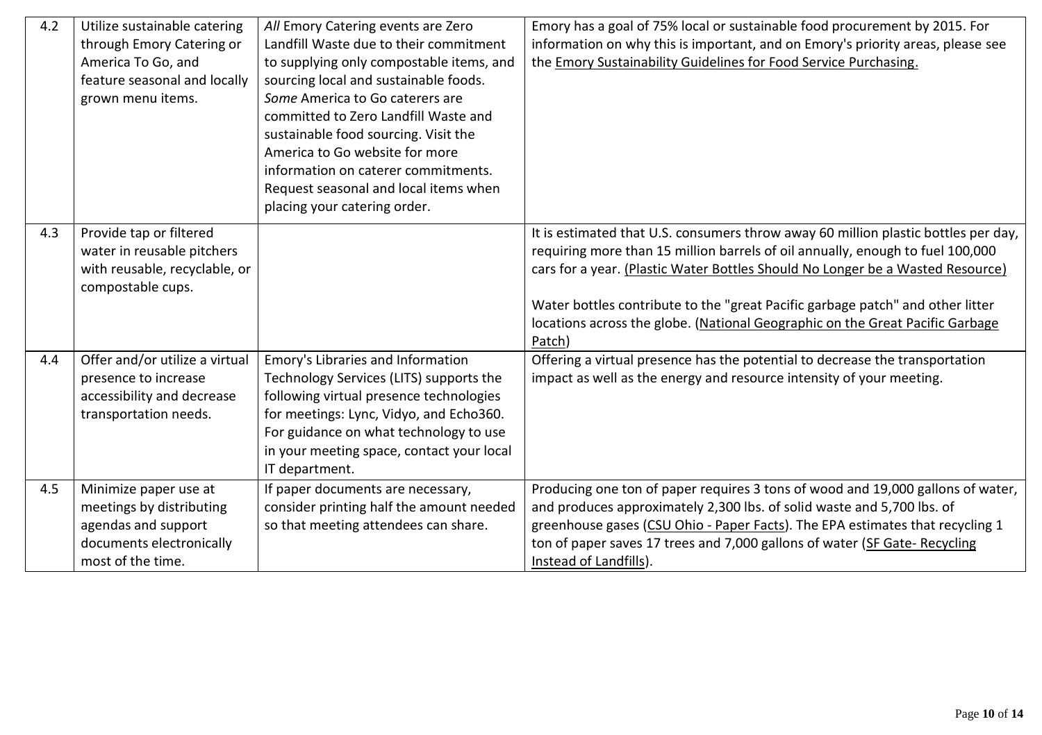| 4.2 | Utilize sustainable catering<br>through Emory Catering or<br>America To Go, and<br>feature seasonal and locally<br>grown menu items. | All Emory Catering events are Zero<br>Landfill Waste due to their commitment<br>to supplying only compostable items, and<br>sourcing local and sustainable foods.<br>Some America to Go caterers are<br>committed to Zero Landfill Waste and<br>sustainable food sourcing. Visit the<br>America to Go website for more<br>information on caterer commitments.<br>Request seasonal and local items when<br>placing your catering order. | Emory has a goal of 75% local or sustainable food procurement by 2015. For<br>information on why this is important, and on Emory's priority areas, please see<br>the Emory Sustainability Guidelines for Food Service Purchasing.                                                                                                                                                                                                   |
|-----|--------------------------------------------------------------------------------------------------------------------------------------|----------------------------------------------------------------------------------------------------------------------------------------------------------------------------------------------------------------------------------------------------------------------------------------------------------------------------------------------------------------------------------------------------------------------------------------|-------------------------------------------------------------------------------------------------------------------------------------------------------------------------------------------------------------------------------------------------------------------------------------------------------------------------------------------------------------------------------------------------------------------------------------|
| 4.3 | Provide tap or filtered<br>water in reusable pitchers<br>with reusable, recyclable, or<br>compostable cups.                          |                                                                                                                                                                                                                                                                                                                                                                                                                                        | It is estimated that U.S. consumers throw away 60 million plastic bottles per day,<br>requiring more than 15 million barrels of oil annually, enough to fuel 100,000<br>cars for a year. (Plastic Water Bottles Should No Longer be a Wasted Resource)<br>Water bottles contribute to the "great Pacific garbage patch" and other litter<br>locations across the globe. (National Geographic on the Great Pacific Garbage<br>Patch) |
| 4.4 | Offer and/or utilize a virtual<br>presence to increase<br>accessibility and decrease<br>transportation needs.                        | Emory's Libraries and Information<br>Technology Services (LITS) supports the<br>following virtual presence technologies<br>for meetings: Lync, Vidyo, and Echo360.<br>For guidance on what technology to use<br>in your meeting space, contact your local<br>IT department.                                                                                                                                                            | Offering a virtual presence has the potential to decrease the transportation<br>impact as well as the energy and resource intensity of your meeting.                                                                                                                                                                                                                                                                                |
| 4.5 | Minimize paper use at<br>meetings by distributing<br>agendas and support<br>documents electronically<br>most of the time.            | If paper documents are necessary,<br>consider printing half the amount needed<br>so that meeting attendees can share.                                                                                                                                                                                                                                                                                                                  | Producing one ton of paper requires 3 tons of wood and 19,000 gallons of water,<br>and produces approximately 2,300 lbs. of solid waste and 5,700 lbs. of<br>greenhouse gases (CSU Ohio - Paper Facts). The EPA estimates that recycling 1<br>ton of paper saves 17 trees and 7,000 gallons of water (SF Gate- Recycling<br>Instead of Landfills).                                                                                  |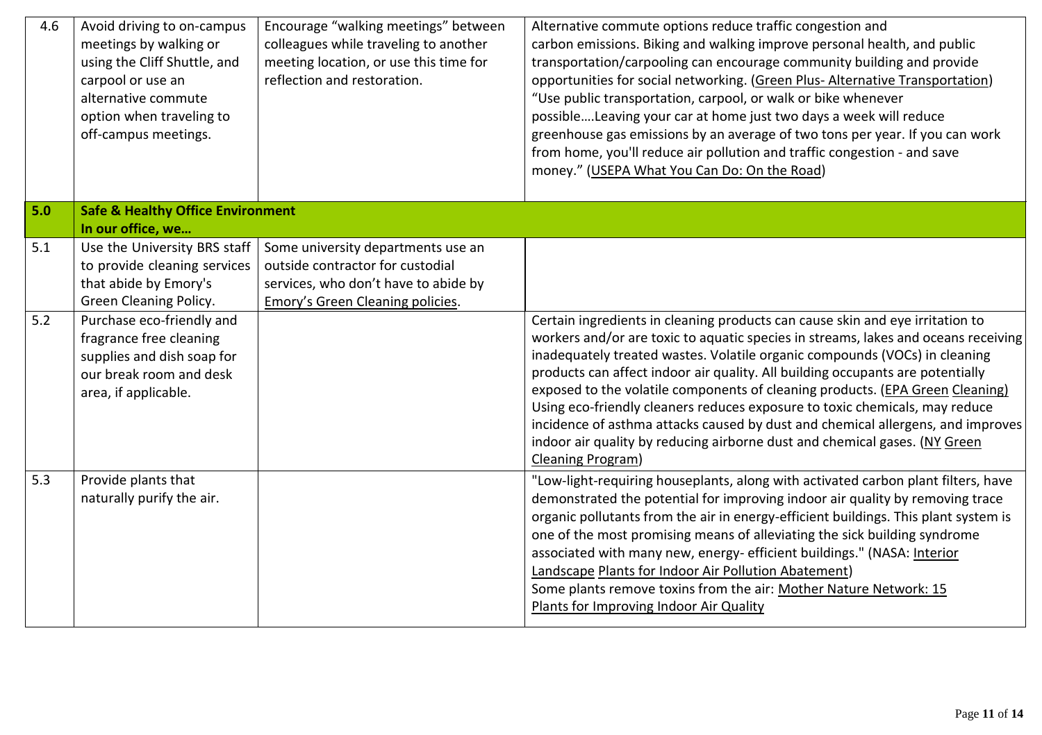| 4.6 | Avoid driving to on-campus<br>meetings by walking or<br>using the Cliff Shuttle, and<br>carpool or use an<br>alternative commute<br>option when traveling to<br>off-campus meetings. | Encourage "walking meetings" between<br>colleagues while traveling to another<br>meeting location, or use this time for<br>reflection and restoration. | Alternative commute options reduce traffic congestion and<br>carbon emissions. Biking and walking improve personal health, and public<br>transportation/carpooling can encourage community building and provide<br>opportunities for social networking. (Green Plus- Alternative Transportation)<br>"Use public transportation, carpool, or walk or bike whenever<br>possibleLeaving your car at home just two days a week will reduce<br>greenhouse gas emissions by an average of two tons per year. If you can work<br>from home, you'll reduce air pollution and traffic congestion - and save<br>money." (USEPA What You Can Do: On the Road)                                               |
|-----|--------------------------------------------------------------------------------------------------------------------------------------------------------------------------------------|--------------------------------------------------------------------------------------------------------------------------------------------------------|--------------------------------------------------------------------------------------------------------------------------------------------------------------------------------------------------------------------------------------------------------------------------------------------------------------------------------------------------------------------------------------------------------------------------------------------------------------------------------------------------------------------------------------------------------------------------------------------------------------------------------------------------------------------------------------------------|
| 5.0 | <b>Safe &amp; Healthy Office Environment</b><br>In our office, we                                                                                                                    |                                                                                                                                                        |                                                                                                                                                                                                                                                                                                                                                                                                                                                                                                                                                                                                                                                                                                  |
| 5.1 | Use the University BRS staff<br>to provide cleaning services<br>that abide by Emory's<br>Green Cleaning Policy.                                                                      | Some university departments use an<br>outside contractor for custodial<br>services, who don't have to abide by<br>Emory's Green Cleaning policies.     |                                                                                                                                                                                                                                                                                                                                                                                                                                                                                                                                                                                                                                                                                                  |
| 5.2 | Purchase eco-friendly and<br>fragrance free cleaning<br>supplies and dish soap for<br>our break room and desk<br>area, if applicable.                                                |                                                                                                                                                        | Certain ingredients in cleaning products can cause skin and eye irritation to<br>workers and/or are toxic to aquatic species in streams, lakes and oceans receiving<br>inadequately treated wastes. Volatile organic compounds (VOCs) in cleaning<br>products can affect indoor air quality. All building occupants are potentially<br>exposed to the volatile components of cleaning products. (EPA Green Cleaning)<br>Using eco-friendly cleaners reduces exposure to toxic chemicals, may reduce<br>incidence of asthma attacks caused by dust and chemical allergens, and improves<br>indoor air quality by reducing airborne dust and chemical gases. (NY Green<br><b>Cleaning Program)</b> |
| 5.3 | Provide plants that<br>naturally purify the air.                                                                                                                                     |                                                                                                                                                        | "Low-light-requiring houseplants, along with activated carbon plant filters, have<br>demonstrated the potential for improving indoor air quality by removing trace<br>organic pollutants from the air in energy-efficient buildings. This plant system is<br>one of the most promising means of alleviating the sick building syndrome<br>associated with many new, energy- efficient buildings." (NASA: Interior<br>Landscape Plants for Indoor Air Pollution Abatement)<br>Some plants remove toxins from the air: Mother Nature Network: 15<br>Plants for Improving Indoor Air Quality                                                                                                        |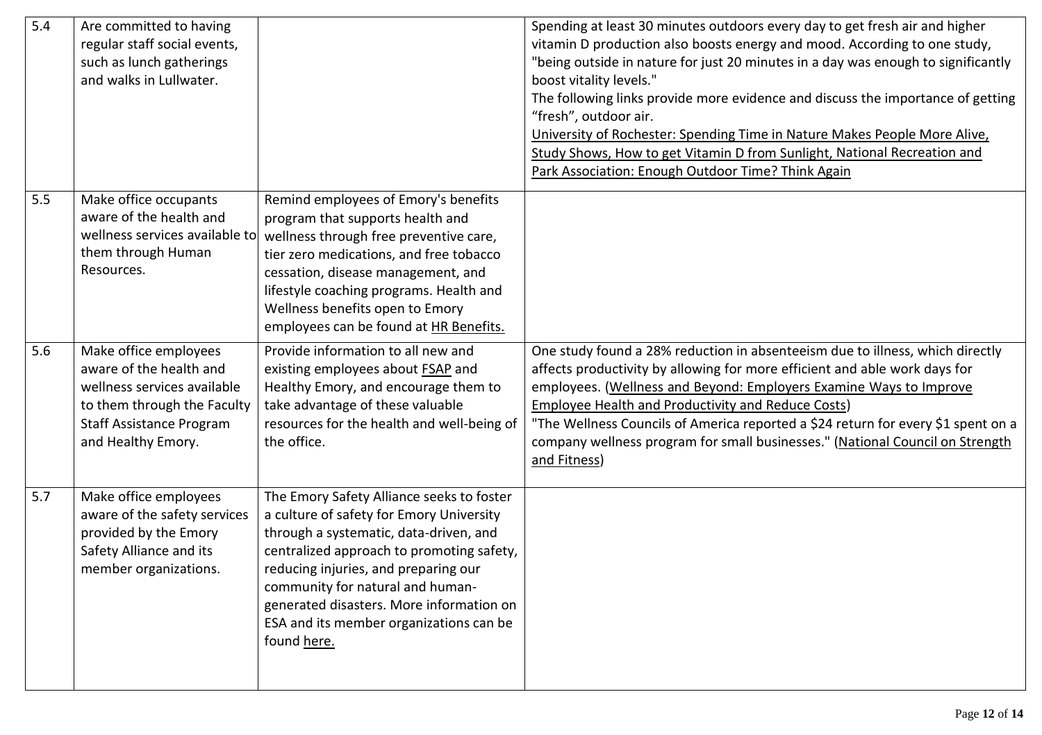| 5.4 | Are committed to having<br>regular staff social events,<br>such as lunch gatherings<br>and walks in Lullwater.                                                          |                                                                                                                                                                                                                                                                                                                                                                | Spending at least 30 minutes outdoors every day to get fresh air and higher<br>vitamin D production also boosts energy and mood. According to one study,<br>"being outside in nature for just 20 minutes in a day was enough to significantly<br>boost vitality levels."<br>The following links provide more evidence and discuss the importance of getting<br>"fresh", outdoor air.<br>University of Rochester: Spending Time in Nature Makes People More Alive,<br>Study Shows, How to get Vitamin D from Sunlight, National Recreation and<br>Park Association: Enough Outdoor Time? Think Again |
|-----|-------------------------------------------------------------------------------------------------------------------------------------------------------------------------|----------------------------------------------------------------------------------------------------------------------------------------------------------------------------------------------------------------------------------------------------------------------------------------------------------------------------------------------------------------|-----------------------------------------------------------------------------------------------------------------------------------------------------------------------------------------------------------------------------------------------------------------------------------------------------------------------------------------------------------------------------------------------------------------------------------------------------------------------------------------------------------------------------------------------------------------------------------------------------|
| 5.5 | Make office occupants<br>aware of the health and<br>wellness services available to<br>them through Human<br>Resources.                                                  | Remind employees of Emory's benefits<br>program that supports health and<br>wellness through free preventive care,<br>tier zero medications, and free tobacco<br>cessation, disease management, and<br>lifestyle coaching programs. Health and<br>Wellness benefits open to Emory<br>employees can be found at HR Benefits.                                    |                                                                                                                                                                                                                                                                                                                                                                                                                                                                                                                                                                                                     |
| 5.6 | Make office employees<br>aware of the health and<br>wellness services available<br>to them through the Faculty<br><b>Staff Assistance Program</b><br>and Healthy Emory. | Provide information to all new and<br>existing employees about <b>FSAP</b> and<br>Healthy Emory, and encourage them to<br>take advantage of these valuable<br>resources for the health and well-being of<br>the office.                                                                                                                                        | One study found a 28% reduction in absenteeism due to illness, which directly<br>affects productivity by allowing for more efficient and able work days for<br>employees. (Wellness and Beyond: Employers Examine Ways to Improve<br><b>Employee Health and Productivity and Reduce Costs)</b><br>"The Wellness Councils of America reported a \$24 return for every \$1 spent on a<br>company wellness program for small businesses." (National Council on Strength<br>and Fitness)                                                                                                                |
| 5.7 | Make office employees<br>aware of the safety services<br>provided by the Emory<br>Safety Alliance and its<br>member organizations.                                      | The Emory Safety Alliance seeks to foster<br>a culture of safety for Emory University<br>through a systematic, data-driven, and<br>centralized approach to promoting safety,<br>reducing injuries, and preparing our<br>community for natural and human-<br>generated disasters. More information on<br>ESA and its member organizations can be<br>found here. |                                                                                                                                                                                                                                                                                                                                                                                                                                                                                                                                                                                                     |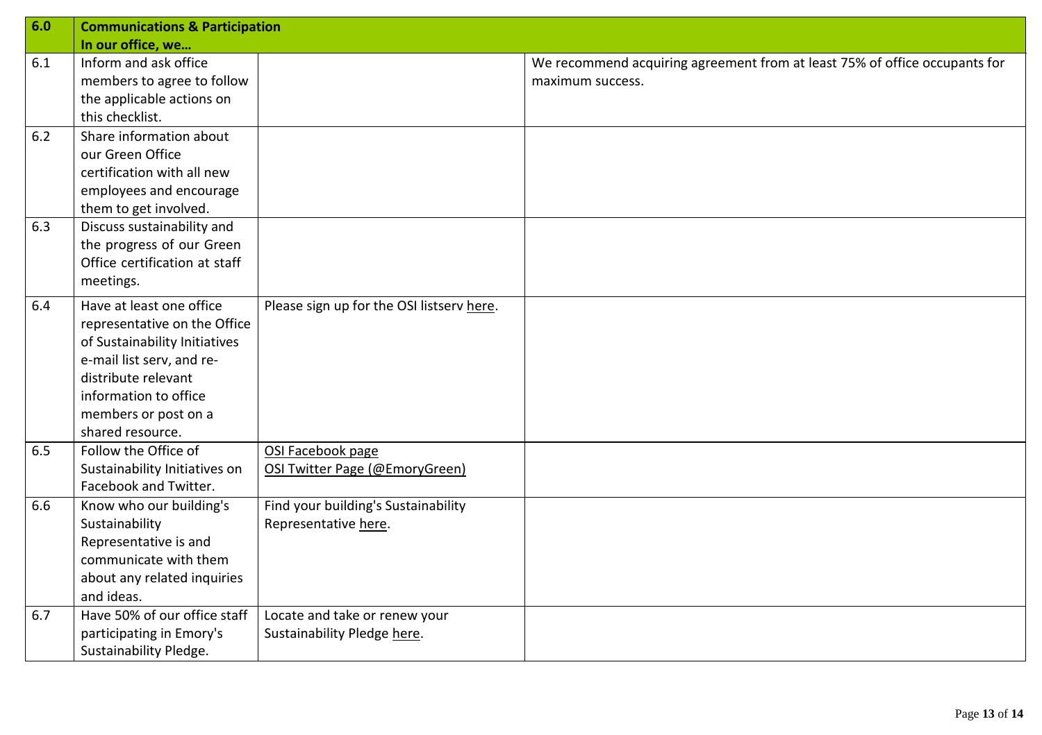| 6.0 | <b>Communications &amp; Participation</b> |                                           |                                                                            |
|-----|-------------------------------------------|-------------------------------------------|----------------------------------------------------------------------------|
|     | In our office, we                         |                                           |                                                                            |
| 6.1 | Inform and ask office                     |                                           | We recommend acquiring agreement from at least 75% of office occupants for |
|     | members to agree to follow                |                                           | maximum success.                                                           |
|     | the applicable actions on                 |                                           |                                                                            |
|     | this checklist.                           |                                           |                                                                            |
| 6.2 | Share information about                   |                                           |                                                                            |
|     | our Green Office                          |                                           |                                                                            |
|     | certification with all new                |                                           |                                                                            |
|     | employees and encourage                   |                                           |                                                                            |
|     | them to get involved.                     |                                           |                                                                            |
| 6.3 | Discuss sustainability and                |                                           |                                                                            |
|     | the progress of our Green                 |                                           |                                                                            |
|     | Office certification at staff             |                                           |                                                                            |
|     | meetings.                                 |                                           |                                                                            |
| 6.4 | Have at least one office                  | Please sign up for the OSI listserv here. |                                                                            |
|     | representative on the Office              |                                           |                                                                            |
|     | of Sustainability Initiatives             |                                           |                                                                            |
|     | e-mail list serv, and re-                 |                                           |                                                                            |
|     | distribute relevant                       |                                           |                                                                            |
|     | information to office                     |                                           |                                                                            |
|     | members or post on a                      |                                           |                                                                            |
|     | shared resource.                          |                                           |                                                                            |
| 6.5 | Follow the Office of                      | OSI Facebook page                         |                                                                            |
|     | Sustainability Initiatives on             | OSI Twitter Page (@EmoryGreen)            |                                                                            |
|     | Facebook and Twitter.                     |                                           |                                                                            |
| 6.6 | Know who our building's                   | Find your building's Sustainability       |                                                                            |
|     | Sustainability                            | Representative here.                      |                                                                            |
|     | Representative is and                     |                                           |                                                                            |
|     | communicate with them                     |                                           |                                                                            |
|     | about any related inquiries               |                                           |                                                                            |
|     | and ideas.                                |                                           |                                                                            |
| 6.7 | Have 50% of our office staff              | Locate and take or renew your             |                                                                            |
|     | participating in Emory's                  | Sustainability Pledge here.               |                                                                            |
|     | Sustainability Pledge.                    |                                           |                                                                            |